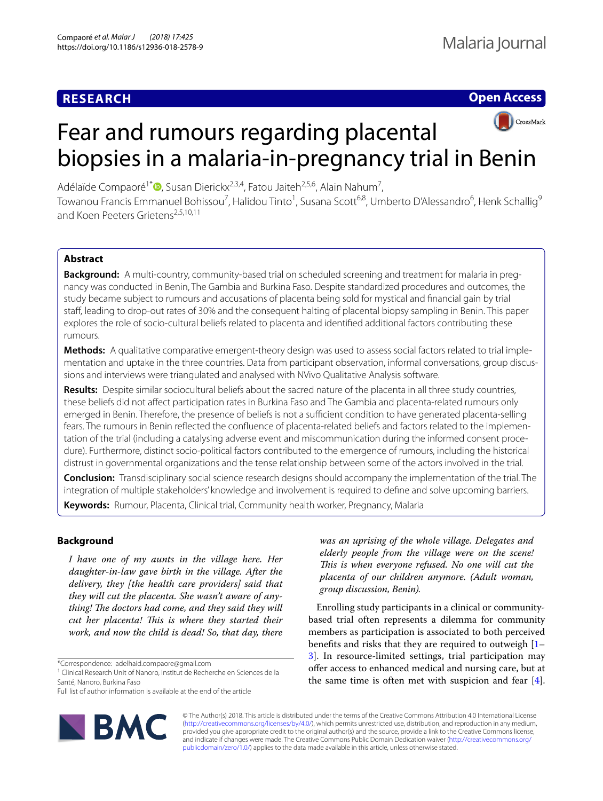### **RESEARCH**

### **Open Access**



# Fear and rumours regarding placental biopsies in a malaria-in-pregnancy trial in Benin

Adélaïde Compaoré<sup>1\*</sup><sup>®</sup>[,](http://orcid.org/0000-0003-4798-0619) Susan Dierickx<sup>2,3,4</sup>, Fatou Jaiteh<sup>2,5,6</sup>, Alain Nahum<sup>7</sup>, Towanou Francis Emmanuel Bohissou<sup>7</sup>, Halidou Tinto<sup>1</sup>, Susana Scott<sup>6,8</sup>, Umberto D'Alessandro<sup>6</sup>, Henk Schallig<sup>s</sup> and Koen Peeters Grietens<sup>2,5,10,11</sup>

### **Abstract**

**Background:** A multi-country, community-based trial on scheduled screening and treatment for malaria in pregnancy was conducted in Benin, The Gambia and Burkina Faso. Despite standardized procedures and outcomes, the study became subject to rumours and accusations of placenta being sold for mystical and fnancial gain by trial staff, leading to drop-out rates of 30% and the consequent halting of placental biopsy sampling in Benin. This paper explores the role of socio-cultural beliefs related to placenta and identifed additional factors contributing these rumours.

**Methods:** A qualitative comparative emergent-theory design was used to assess social factors related to trial implementation and uptake in the three countries. Data from participant observation, informal conversations, group discussions and interviews were triangulated and analysed with NVivo Qualitative Analysis software.

**Results:** Despite similar sociocultural beliefs about the sacred nature of the placenta in all three study countries, these beliefs did not afect participation rates in Burkina Faso and The Gambia and placenta-related rumours only emerged in Benin. Therefore, the presence of beliefs is not a sufficient condition to have generated placenta-selling fears. The rumours in Benin refected the confuence of placenta-related beliefs and factors related to the implementation of the trial (including a catalysing adverse event and miscommunication during the informed consent procedure). Furthermore, distinct socio-political factors contributed to the emergence of rumours, including the historical distrust in governmental organizations and the tense relationship between some of the actors involved in the trial.

**Conclusion:** Transdisciplinary social science research designs should accompany the implementation of the trial. The integration of multiple stakeholders' knowledge and involvement is required to defne and solve upcoming barriers.

**Keywords:** Rumour, Placenta, Clinical trial, Community health worker, Pregnancy, Malaria

### **Background**

*I have one of my aunts in the village here. Her daughter-in-law gave birth in the village. After the delivery, they [the health care providers] said that they will cut the placenta. She wasn't aware of anything! The doctors had come, and they said they will cut her placenta! Tis is where they started their work, and now the child is dead! So, that day, there* 

\*Correspondence: adelhaid.compaore@gmail.com

Full list of author information is available at the end of the article



*was an uprising of the whole village. Delegates and elderly people from the village were on the scene! Tis is when everyone refused. No one will cut the placenta of our children anymore. (Adult woman, group discussion, Benin).*

Enrolling study participants in a clinical or communitybased trial often represents a dilemma for community members as participation is associated to both perceived benefts and risks that they are required to outweigh [[1–](#page-7-0) [3\]](#page-7-1). In resource-limited settings, trial participation may offer access to enhanced medical and nursing care, but at the same time is often met with suspicion and fear  $[4]$  $[4]$ .

© The Author(s) 2018. This article is distributed under the terms of the Creative Commons Attribution 4.0 International License [\(http://creativecommons.org/licenses/by/4.0/\)](http://creativecommons.org/licenses/by/4.0/), which permits unrestricted use, distribution, and reproduction in any medium, provided you give appropriate credit to the original author(s) and the source, provide a link to the Creative Commons license, and indicate if changes were made. The Creative Commons Public Domain Dedication waiver ([http://creativecommons.org/](http://creativecommons.org/publicdomain/zero/1.0/) [publicdomain/zero/1.0/](http://creativecommons.org/publicdomain/zero/1.0/)) applies to the data made available in this article, unless otherwise stated.

<sup>&</sup>lt;sup>1</sup> Clinical Research Unit of Nanoro, Institut de Recherche en Sciences de la Santé, Nanoro, Burkina Faso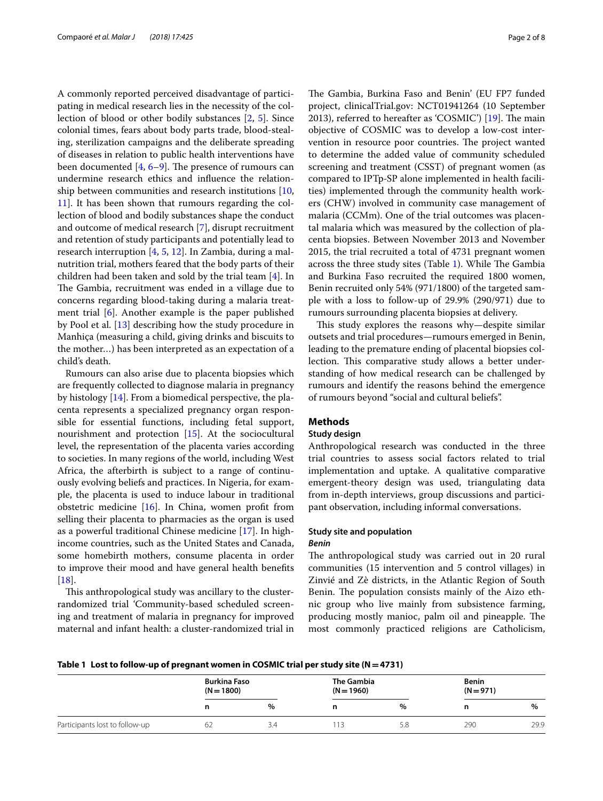A commonly reported perceived disadvantage of participating in medical research lies in the necessity of the collection of blood or other bodily substances [\[2](#page-7-3), [5\]](#page-7-4). Since colonial times, fears about body parts trade, blood-stealing, sterilization campaigns and the deliberate spreading of diseases in relation to public health interventions have been documented  $[4, 6-9]$  $[4, 6-9]$  $[4, 6-9]$  $[4, 6-9]$  $[4, 6-9]$ . The presence of rumours can undermine research ethics and infuence the relationship between communities and research institutions [\[10](#page-7-7), [11\]](#page-7-8). It has been shown that rumours regarding the collection of blood and bodily substances shape the conduct and outcome of medical research [\[7](#page-7-9)], disrupt recruitment and retention of study participants and potentially lead to research interruption [[4,](#page-7-2) [5,](#page-7-4) [12](#page-7-10)]. In Zambia, during a malnutrition trial, mothers feared that the body parts of their children had been taken and sold by the trial team [[4\]](#page-7-2). In The Gambia, recruitment was ended in a village due to concerns regarding blood-taking during a malaria treatment trial [[6\]](#page-7-5). Another example is the paper published by Pool et al. [[13\]](#page-7-11) describing how the study procedure in Manhiça (measuring a child, giving drinks and biscuits to the mother…) has been interpreted as an expectation of a child's death.

Rumours can also arise due to placenta biopsies which are frequently collected to diagnose malaria in pregnancy by histology [[14](#page-7-12)]. From a biomedical perspective, the placenta represents a specialized pregnancy organ responsible for essential functions, including fetal support, nourishment and protection [[15\]](#page-7-13). At the sociocultural level, the representation of the placenta varies according to societies. In many regions of the world, including West Africa, the afterbirth is subject to a range of continuously evolving beliefs and practices. In Nigeria, for example, the placenta is used to induce labour in traditional obstetric medicine [[16\]](#page-7-14). In China, women proft from selling their placenta to pharmacies as the organ is used as a powerful traditional Chinese medicine [\[17](#page-7-15)]. In highincome countries, such as the United States and Canada, some homebirth mothers, consume placenta in order to improve their mood and have general health benefts [[18\]](#page-7-16).

This anthropological study was ancillary to the clusterrandomized trial 'Community-based scheduled screening and treatment of malaria in pregnancy for improved maternal and infant health: a cluster-randomized trial in

The Gambia, Burkina Faso and Benin' (EU FP7 funded project, clinicalTrial.gov: NCT01941264 (10 September 2013), referred to hereafter as 'COSMIC' [ $19$ ]. The main objective of COSMIC was to develop a low-cost intervention in resource poor countries. The project wanted to determine the added value of community scheduled screening and treatment (CSST) of pregnant women (as compared to IPTp-SP alone implemented in health facilities) implemented through the community health workers (CHW) involved in community case management of malaria (CCMm). One of the trial outcomes was placental malaria which was measured by the collection of placenta biopsies. Between November 2013 and November 2015, the trial recruited a total of 4731 pregnant women across the three study sites (Table [1\)](#page-1-0). While The Gambia and Burkina Faso recruited the required 1800 women, Benin recruited only 54% (971/1800) of the targeted sample with a loss to follow-up of 29.9% (290/971) due to rumours surrounding placenta biopsies at delivery.

This study explores the reasons why—despite similar outsets and trial procedures—rumours emerged in Benin, leading to the premature ending of placental biopsies collection. This comparative study allows a better understanding of how medical research can be challenged by rumours and identify the reasons behind the emergence of rumours beyond "social and cultural beliefs".

### **Methods**

### **Study design**

Anthropological research was conducted in the three trial countries to assess social factors related to trial implementation and uptake. A qualitative comparative emergent-theory design was used, triangulating data from in-depth interviews, group discussions and participant observation, including informal conversations.

### **Study site and population**

### *Benin*

The anthropological study was carried out in 20 rural communities (15 intervention and 5 control villages) in Zinvié and Zè districts, in the Atlantic Region of South Benin. The population consists mainly of the Aizo ethnic group who live mainly from subsistence farming, producing mostly manioc, palm oil and pineapple. The most commonly practiced religions are Catholicism,

<span id="page-1-0"></span>**Table 1 Lost to follow-up of pregnant women in COSMIC trial per study site (N=4731)**

|                                | .<br><b>Burkina Faso</b><br>$(N = 1800)$ |      | <b>The Gambia</b><br>$(N = 1960)$ |     | <b>Benin</b><br>$(N = 971)$ |      |
|--------------------------------|------------------------------------------|------|-----------------------------------|-----|-----------------------------|------|
|                                |                                          | $\%$ | n                                 | %   |                             | $\%$ |
| Participants lost to follow-up | 62                                       | 3.4  |                                   | 5.8 | 290                         | 29.9 |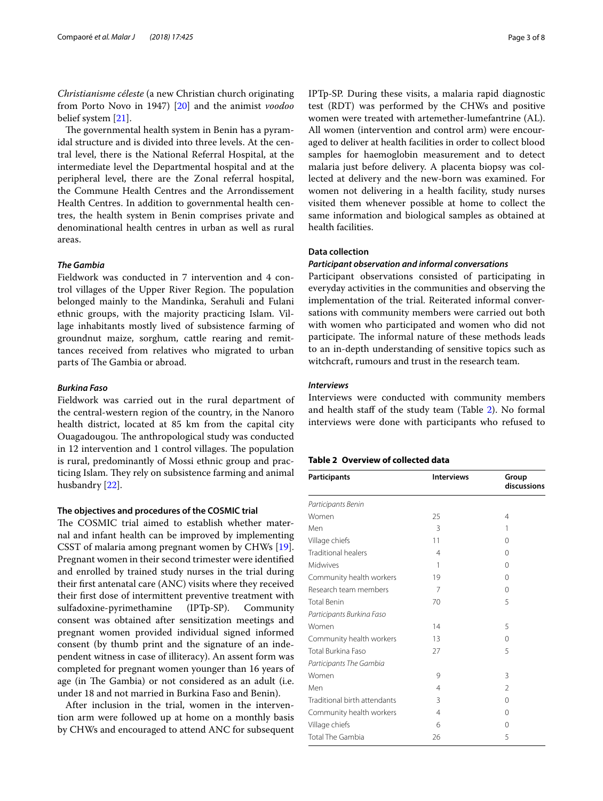*Christianisme céleste* (a new Christian church originating from Porto Novo in 1947) [[20\]](#page-7-18) and the animist *voodoo* belief system [[21\]](#page-7-19).

The governmental health system in Benin has a pyramidal structure and is divided into three levels. At the central level, there is the National Referral Hospital, at the intermediate level the Departmental hospital and at the peripheral level, there are the Zonal referral hospital, the Commune Health Centres and the Arrondissement Health Centres. In addition to governmental health centres, the health system in Benin comprises private and denominational health centres in urban as well as rural areas.

### *The Gambia*

Fieldwork was conducted in 7 intervention and 4 control villages of the Upper River Region. The population belonged mainly to the Mandinka, Serahuli and Fulani ethnic groups, with the majority practicing Islam. Village inhabitants mostly lived of subsistence farming of groundnut maize, sorghum, cattle rearing and remittances received from relatives who migrated to urban parts of The Gambia or abroad.

### *Burkina Faso*

Fieldwork was carried out in the rural department of the central-western region of the country, in the Nanoro health district, located at 85 km from the capital city Ouagadougou. The anthropological study was conducted in 12 intervention and 1 control villages. The population is rural, predominantly of Mossi ethnic group and practicing Islam. They rely on subsistence farming and animal husbandry [[22](#page-7-20)].

### **The objectives and procedures of the COSMIC trial**

The COSMIC trial aimed to establish whether maternal and infant health can be improved by implementing CSST of malaria among pregnant women by CHWs [\[19](#page-7-17)]. Pregnant women in their second trimester were identifed and enrolled by trained study nurses in the trial during their frst antenatal care (ANC) visits where they received their frst dose of intermittent preventive treatment with sulfadoxine-pyrimethamine (IPTp-SP). Community consent was obtained after sensitization meetings and pregnant women provided individual signed informed consent (by thumb print and the signature of an independent witness in case of illiteracy). An assent form was completed for pregnant women younger than 16 years of age (in The Gambia) or not considered as an adult (i.e. under 18 and not married in Burkina Faso and Benin).

After inclusion in the trial, women in the intervention arm were followed up at home on a monthly basis by CHWs and encouraged to attend ANC for subsequent IPTp-SP. During these visits, a malaria rapid diagnostic test (RDT) was performed by the CHWs and positive women were treated with artemether-lumefantrine (AL). All women (intervention and control arm) were encouraged to deliver at health facilities in order to collect blood samples for haemoglobin measurement and to detect malaria just before delivery. A placenta biopsy was collected at delivery and the new-born was examined. For women not delivering in a health facility, study nurses visited them whenever possible at home to collect the same information and biological samples as obtained at health facilities.

### **Data collection**

### *Participant observation and informal conversations*

Participant observations consisted of participating in everyday activities in the communities and observing the implementation of the trial. Reiterated informal conversations with community members were carried out both with women who participated and women who did not participate. The informal nature of these methods leads to an in-depth understanding of sensitive topics such as witchcraft, rumours and trust in the research team.

### *Interviews*

Interviews were conducted with community members and health staff of the study team (Table [2](#page-2-0)). No formal interviews were done with participants who refused to

### <span id="page-2-0"></span>**Table 2 Overview of collected data**

| <b>Participants</b>          | <b>Interviews</b> | Group<br>discussions |
|------------------------------|-------------------|----------------------|
| Participants Benin           |                   |                      |
| Women                        | 25                | 4                    |
| Men                          | 3                 | 1                    |
| Village chiefs               | 11                | $\Omega$             |
| <b>Traditional healers</b>   | 4                 | $\Omega$             |
| Midwives                     | 1                 | $\Omega$             |
| Community health workers     | 19                | $\Omega$             |
| Research team members        | 7                 | $\Omega$             |
| <b>Total Benin</b>           | 70                | 5                    |
| Participants Burkina Faso    |                   |                      |
| Women                        | 14                | 5                    |
| Community health workers     | 13                | $\Omega$             |
| Total Burkina Faso           | 27                | 5                    |
| Participants The Gambia      |                   |                      |
| Women                        | 9                 | 3                    |
| Men                          | $\overline{4}$    | $\mathfrak{D}$       |
| Traditional birth attendants | 3                 | $\Omega$             |
| Community health workers     | 4                 | $\Omega$             |
| Village chiefs               | 6                 | $\Omega$             |
| Total The Gambia             | 26                | 5                    |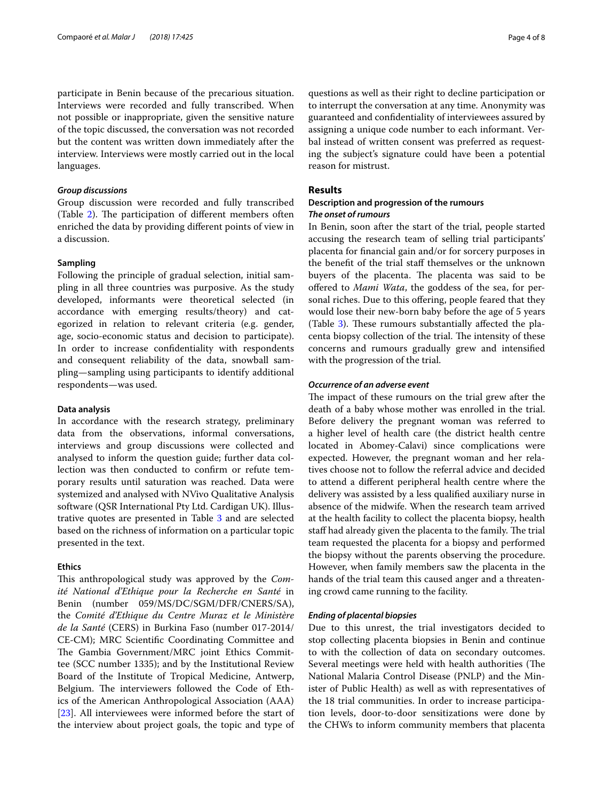participate in Benin because of the precarious situation. Interviews were recorded and fully transcribed. When not possible or inappropriate, given the sensitive nature of the topic discussed, the conversation was not recorded but the content was written down immediately after the interview. Interviews were mostly carried out in the local languages.

#### *Group discussions*

Group discussion were recorded and fully transcribed (Table  $2$ ). The participation of different members often enriched the data by providing diferent points of view in a discussion.

### **Sampling**

Following the principle of gradual selection, initial sampling in all three countries was purposive. As the study developed, informants were theoretical selected (in accordance with emerging results/theory) and categorized in relation to relevant criteria (e.g. gender, age, socio-economic status and decision to participate). In order to increase confdentiality with respondents and consequent reliability of the data, snowball sampling—sampling using participants to identify additional respondents—was used.

### **Data analysis**

In accordance with the research strategy, preliminary data from the observations, informal conversations, interviews and group discussions were collected and analysed to inform the question guide; further data collection was then conducted to confrm or refute temporary results until saturation was reached. Data were systemized and analysed with NVivo Qualitative Analysis software (QSR International Pty Ltd. Cardigan UK). Illustrative quotes are presented in Table [3](#page-4-0) and are selected based on the richness of information on a particular topic presented in the text.

### **Ethics**

This anthropological study was approved by the *Comité National d'Ethique pour la Recherche en Santé* in Benin (number 059/MS/DC/SGM/DFR/CNERS/SA), the *Comité d'Ethique du Centre Muraz et le Ministère de la Santé* (CERS) in Burkina Faso (number 017-2014/ CE-CM); MRC Scientifc Coordinating Committee and The Gambia Government/MRC joint Ethics Committee (SCC number 1335); and by the Institutional Review Board of the Institute of Tropical Medicine, Antwerp, Belgium. The interviewers followed the Code of Ethics of the American Anthropological Association (AAA) [[23\]](#page-7-21). All interviewees were informed before the start of the interview about project goals, the topic and type of

questions as well as their right to decline participation or to interrupt the conversation at any time. Anonymity was guaranteed and confdentiality of interviewees assured by assigning a unique code number to each informant. Verbal instead of written consent was preferred as requesting the subject's signature could have been a potential reason for mistrust.

### **Results**

### **Description and progression of the rumours** *The onset of rumours*

In Benin, soon after the start of the trial, people started accusing the research team of selling trial participants' placenta for fnancial gain and/or for sorcery purposes in the benefit of the trial staff themselves or the unknown buyers of the placenta. The placenta was said to be offered to *Mami Wata*, the goddess of the sea, for personal riches. Due to this offering, people feared that they would lose their new-born baby before the age of 5 years (Table  $3$ ). These rumours substantially affected the placenta biopsy collection of the trial. The intensity of these concerns and rumours gradually grew and intensifed with the progression of the trial.

### *Occurrence of an adverse event*

The impact of these rumours on the trial grew after the death of a baby whose mother was enrolled in the trial. Before delivery the pregnant woman was referred to a higher level of health care (the district health centre located in Abomey-Calavi) since complications were expected. However, the pregnant woman and her relatives choose not to follow the referral advice and decided to attend a diferent peripheral health centre where the delivery was assisted by a less qualifed auxiliary nurse in absence of the midwife. When the research team arrived at the health facility to collect the placenta biopsy, health staff had already given the placenta to the family. The trial team requested the placenta for a biopsy and performed the biopsy without the parents observing the procedure. However, when family members saw the placenta in the hands of the trial team this caused anger and a threatening crowd came running to the facility.

### *Ending of placental biopsies*

Due to this unrest, the trial investigators decided to stop collecting placenta biopsies in Benin and continue to with the collection of data on secondary outcomes. Several meetings were held with health authorities (The National Malaria Control Disease (PNLP) and the Minister of Public Health) as well as with representatives of the 18 trial communities. In order to increase participation levels, door-to-door sensitizations were done by the CHWs to inform community members that placenta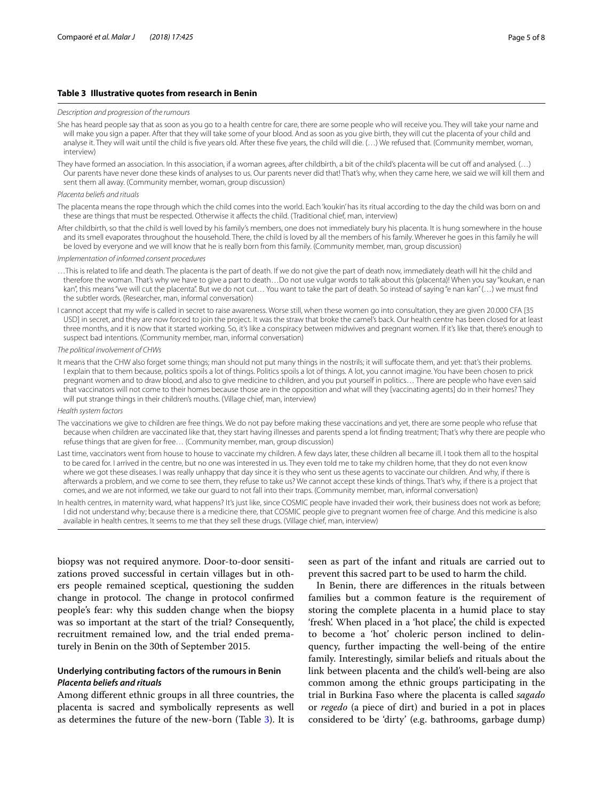### <span id="page-4-0"></span>**Table 3 Illustrative quotes from research in Benin**

#### *Description and progression of the rumours*

She has heard people say that as soon as you go to a health centre for care, there are some people who will receive you. They will take your name and will make you sign a paper. After that they will take some of your blood. And as soon as you give birth, they will cut the placenta of your child and analyse it. They will wait until the child is fve years old. After these fve years, the child will die. (…) We refused that. (Community member, woman, interview)

They have formed an association. In this association, if a woman agrees, after childbirth, a bit of the child's placenta will be cut off and analysed. (...) Our parents have never done these kinds of analyses to us. Our parents never did that! That's why, when they came here, we said we will kill them and sent them all away. (Community member, woman, group discussion)

#### *Placenta beliefs and rituals*

- The placenta means the rope through which the child comes into the world. Each 'koukin' has its ritual according to the day the child was born on and these are things that must be respected. Otherwise it afects the child. (Traditional chief, man, interview)
- After childbirth, so that the child is well loved by his family's members, one does not immediately bury his placenta. It is hung somewhere in the house and its smell evaporates throughout the household. There, the child is loved by all the members of his family. Wherever he goes in this family he will be loved by everyone and we will know that he is really born from this family. (Community member, man, group discussion)

*Implementation of informed consent procedures*

- …This is related to life and death. The placenta is the part of death. If we do not give the part of death now, immediately death will hit the child and therefore the woman. That's why we have to give a part to death…Do not use vulgar words to talk about this (placenta)! When you say "koukan, e nan kan", this means "we will cut the placenta". But we do not cut... You want to take the part of death. So instead of saying "e nan kan" (...) we must find the subtler words. (Researcher, man, informal conversation)
- I cannot accept that my wife is called in secret to raise awareness. Worse still, when these women go into consultation, they are given 20.000 CFA [35 USD] in secret, and they are now forced to join the project. It was the straw that broke the camel's back. Our health centre has been closed for at least three months, and it is now that it started working. So, it's like a conspiracy between midwives and pregnant women. If it's like that, there's enough to suspect bad intentions. (Community member, man, informal conversation)

#### *The political involvement of CHWs*

It means that the CHW also forget some things; man should not put many things in the nostrils; it will sufocate them, and yet: that's their problems. I explain that to them because, politics spoils a lot of things. Politics spoils a lot of things. A lot, you cannot imagine. You have been chosen to prick pregnant women and to draw blood, and also to give medicine to children, and you put yourself in politics… There are people who have even said that vaccinators will not come to their homes because those are in the opposition and what will they [vaccinating agents] do in their homes? They will put strange things in their children's mouths. (Village chief, man, interview)

#### *Health system factors*

- The vaccinations we give to children are free things. We do not pay before making these vaccinations and yet, there are some people who refuse that because when children are vaccinated like that, they start having illnesses and parents spend a lot fnding treatment; That's why there are people who refuse things that are given for free… (Community member, man, group discussion)
- Last time, vaccinators went from house to house to vaccinate my children. A few days later, these children all became ill. I took them all to the hospital to be cared for. I arrived in the centre, but no one was interested in us. They even told me to take my children home, that they do not even know where we got these diseases. I was really unhappy that day since it is they who sent us these agents to vaccinate our children. And why, if there is afterwards a problem, and we come to see them, they refuse to take us? We cannot accept these kinds of things. That's why, if there is a project that comes, and we are not informed, we take our guard to not fall into their traps. (Community member, man, informal conversation)
- In health centres, in maternity ward, what happens? It's just like, since COSMIC people have invaded their work, their business does not work as before; I did not understand why; because there is a medicine there, that COSMIC people give to pregnant women free of charge. And this medicine is also available in health centres. It seems to me that they sell these drugs. (Village chief, man, interview)

biopsy was not required anymore. Door-to-door sensitizations proved successful in certain villages but in others people remained sceptical, questioning the sudden change in protocol. The change in protocol confirmed people's fear: why this sudden change when the biopsy was so important at the start of the trial? Consequently, recruitment remained low, and the trial ended prematurely in Benin on the 30th of September 2015.

### **Underlying contributing factors of the rumours in Benin** *Placenta beliefs and rituals*

Among diferent ethnic groups in all three countries, the placenta is sacred and symbolically represents as well as determines the future of the new-born (Table [3](#page-4-0)). It is seen as part of the infant and rituals are carried out to prevent this sacred part to be used to harm the child.

In Benin, there are diferences in the rituals between families but a common feature is the requirement of storing the complete placenta in a humid place to stay 'fresh'. When placed in a 'hot place', the child is expected to become a 'hot' choleric person inclined to delinquency, further impacting the well-being of the entire family. Interestingly, similar beliefs and rituals about the link between placenta and the child's well-being are also common among the ethnic groups participating in the trial in Burkina Faso where the placenta is called *sagado* or *regedo* (a piece of dirt) and buried in a pot in places considered to be 'dirty' (e.g. bathrooms, garbage dump)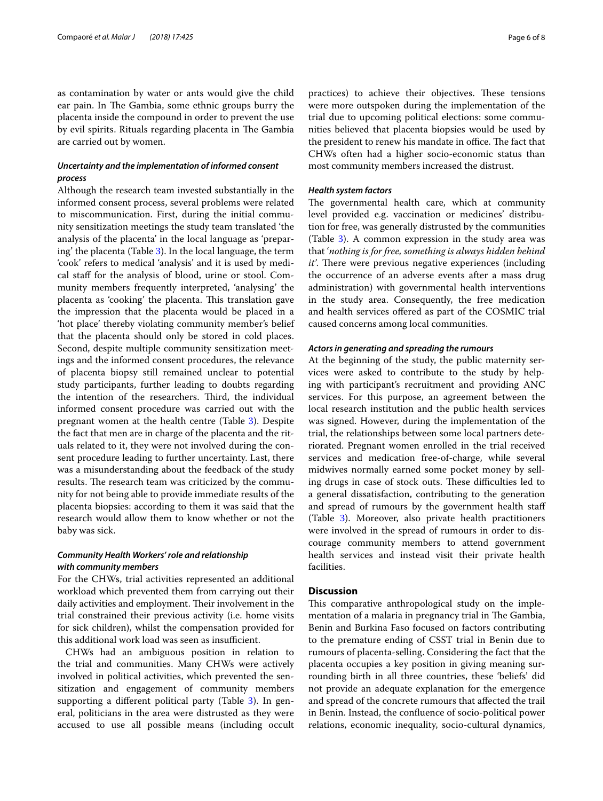as contamination by water or ants would give the child ear pain. In The Gambia, some ethnic groups burry the placenta inside the compound in order to prevent the use by evil spirits. Rituals regarding placenta in The Gambia are carried out by women.

### *Uncertainty and the implementation of informed consent process*

Although the research team invested substantially in the informed consent process, several problems were related to miscommunication. First, during the initial community sensitization meetings the study team translated 'the analysis of the placenta' in the local language as 'preparing' the placenta (Table [3\)](#page-4-0). In the local language, the term 'cook' refers to medical 'analysis' and it is used by medical staff for the analysis of blood, urine or stool. Community members frequently interpreted, 'analysing' the placenta as 'cooking' the placenta. This translation gave the impression that the placenta would be placed in a 'hot place' thereby violating community member's belief that the placenta should only be stored in cold places. Second, despite multiple community sensitization meetings and the informed consent procedures, the relevance of placenta biopsy still remained unclear to potential study participants, further leading to doubts regarding the intention of the researchers. Third, the individual informed consent procedure was carried out with the pregnant women at the health centre (Table [3](#page-4-0)). Despite the fact that men are in charge of the placenta and the rituals related to it, they were not involved during the consent procedure leading to further uncertainty. Last, there was a misunderstanding about the feedback of the study results. The research team was criticized by the community for not being able to provide immediate results of the placenta biopsies: according to them it was said that the research would allow them to know whether or not the baby was sick.

### *Community Health Workers' role and relationship with community members*

For the CHWs, trial activities represented an additional workload which prevented them from carrying out their daily activities and employment. Their involvement in the trial constrained their previous activity (i.e. home visits for sick children), whilst the compensation provided for this additional work load was seen as insufficient.

CHWs had an ambiguous position in relation to the trial and communities. Many CHWs were actively involved in political activities, which prevented the sensitization and engagement of community members supporting a diferent political party (Table [3](#page-4-0)). In general, politicians in the area were distrusted as they were accused to use all possible means (including occult practices) to achieve their objectives. These tensions were more outspoken during the implementation of the trial due to upcoming political elections: some communities believed that placenta biopsies would be used by the president to renew his mandate in office. The fact that CHWs often had a higher socio-economic status than most community members increased the distrust.

### *Health system factors*

The governmental health care, which at community level provided e.g. vaccination or medicines' distribution for free, was generally distrusted by the communities (Table [3](#page-4-0)). A common expression in the study area was that '*nothing is for free, something is always hidden behind it'*. There were previous negative experiences (including the occurrence of an adverse events after a mass drug administration) with governmental health interventions in the study area. Consequently, the free medication and health services offered as part of the COSMIC trial caused concerns among local communities.

### *Actors in generating and spreading the rumours*

At the beginning of the study, the public maternity services were asked to contribute to the study by helping with participant's recruitment and providing ANC services. For this purpose, an agreement between the local research institution and the public health services was signed. However, during the implementation of the trial, the relationships between some local partners deteriorated. Pregnant women enrolled in the trial received services and medication free-of-charge, while several midwives normally earned some pocket money by selling drugs in case of stock outs. These difficulties led to a general dissatisfaction, contributing to the generation and spread of rumours by the government health staf (Table [3\)](#page-4-0). Moreover, also private health practitioners were involved in the spread of rumours in order to discourage community members to attend government health services and instead visit their private health facilities.

### **Discussion**

This comparative anthropological study on the implementation of a malaria in pregnancy trial in The Gambia, Benin and Burkina Faso focused on factors contributing to the premature ending of CSST trial in Benin due to rumours of placenta-selling. Considering the fact that the placenta occupies a key position in giving meaning surrounding birth in all three countries, these 'beliefs' did not provide an adequate explanation for the emergence and spread of the concrete rumours that afected the trail in Benin. Instead, the confuence of socio-political power relations, economic inequality, socio-cultural dynamics,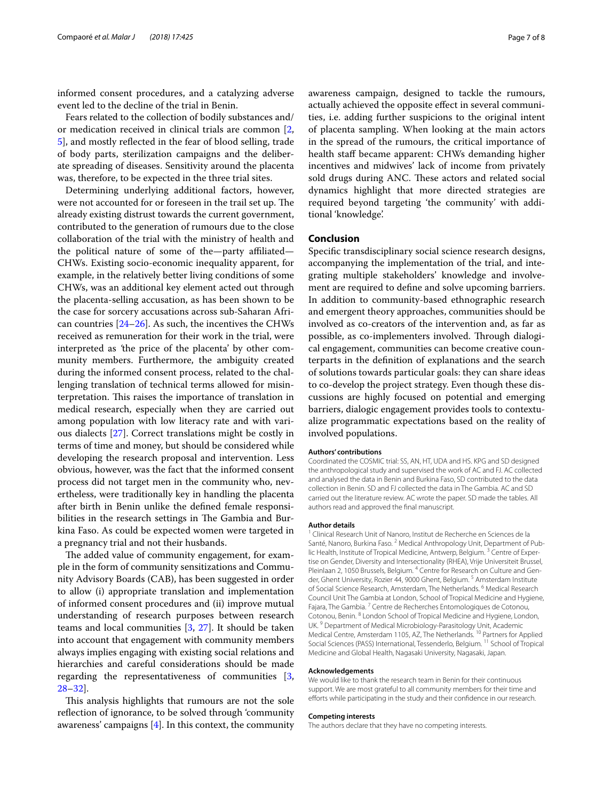informed consent procedures, and a catalyzing adverse event led to the decline of the trial in Benin.

Fears related to the collection of bodily substances and/ or medication received in clinical trials are common [\[2](#page-7-3), [5\]](#page-7-4), and mostly refected in the fear of blood selling, trade of body parts, sterilization campaigns and the deliberate spreading of diseases. Sensitivity around the placenta was, therefore, to be expected in the three trial sites.

Determining underlying additional factors, however, were not accounted for or foreseen in the trail set up. The already existing distrust towards the current government, contributed to the generation of rumours due to the close collaboration of the trial with the ministry of health and the political nature of some of the—party afliated— CHWs. Existing socio-economic inequality apparent, for example, in the relatively better living conditions of some CHWs, was an additional key element acted out through the placenta-selling accusation, as has been shown to be the case for sorcery accusations across sub-Saharan African countries [[24](#page-7-22)[–26](#page-7-23)]. As such, the incentives the CHWs received as remuneration for their work in the trial, were interpreted as *'*the price of the placenta' by other community members. Furthermore, the ambiguity created during the informed consent process, related to the challenging translation of technical terms allowed for misinterpretation. This raises the importance of translation in medical research, especially when they are carried out among population with low literacy rate and with various dialects [[27](#page-7-24)]. Correct translations might be costly in terms of time and money, but should be considered while developing the research proposal and intervention. Less obvious, however, was the fact that the informed consent process did not target men in the community who, nevertheless, were traditionally key in handling the placenta after birth in Benin unlike the defned female responsibilities in the research settings in The Gambia and Burkina Faso. As could be expected women were targeted in a pregnancy trial and not their husbands.

The added value of community engagement, for example in the form of community sensitizations and Community Advisory Boards (CAB), has been suggested in order to allow (i) appropriate translation and implementation of informed consent procedures and (ii) improve mutual understanding of research purposes between research teams and local communities [\[3](#page-7-1), [27\]](#page-7-24). It should be taken into account that engagement with community members always implies engaging with existing social relations and hierarchies and careful considerations should be made regarding the representativeness of communities [\[3](#page-7-1), [28–](#page-7-25)[32](#page-7-26)].

This analysis highlights that rumours are not the sole refection of ignorance, to be solved through 'community awareness' campaigns  $[4]$  $[4]$ . In this context, the community

awareness campaign, designed to tackle the rumours, actually achieved the opposite efect in several communities, i.e. adding further suspicions to the original intent of placenta sampling. When looking at the main actors in the spread of the rumours, the critical importance of health staff became apparent: CHWs demanding higher incentives and midwives' lack of income from privately sold drugs during ANC. These actors and related social dynamics highlight that more directed strategies are required beyond targeting 'the community' with additional 'knowledge'.

### **Conclusion**

Specifc transdisciplinary social science research designs, accompanying the implementation of the trial, and integrating multiple stakeholders' knowledge and involvement are required to defne and solve upcoming barriers. In addition to community-based ethnographic research and emergent theory approaches, communities should be involved as co-creators of the intervention and, as far as possible, as co-implementers involved. Through dialogical engagement, communities can become creative counterparts in the defnition of explanations and the search of solutions towards particular goals: they can share ideas to co-develop the project strategy. Even though these discussions are highly focused on potential and emerging barriers, dialogic engagement provides tools to contextualize programmatic expectations based on the reality of involved populations.

#### **Authors' contributions**

Coordinated the COSMIC trial: SS, AN, HT, UDA and HS. KPG and SD designed the anthropological study and supervised the work of AC and FJ. AC collected and analysed the data in Benin and Burkina Faso, SD contributed to the data collection in Benin. SD and FJ collected the data in The Gambia. AC and SD carried out the literature review. AC wrote the paper. SD made the tables. All authors read and approved the fnal manuscript.

#### **Author details**

<sup>1</sup> Clinical Research Unit of Nanoro, Institut de Recherche en Sciences de la Santé, Nanoro, Burkina Faso. <sup>2</sup> Medical Anthropology Unit, Department of Public Health, Institute of Tropical Medicine, Antwerp, Belgium.<sup>3</sup> Centre of Expertise on Gender, Diversity and Intersectionality (RHEA), Vrije Universiteit Brussel, Pleinlaan 2, 1050 Brussels, Belgium. 4 Centre for Research on Culture and Gender, Ghent University, Rozier 44, 9000 Ghent, Belgium. <sup>5</sup> Amsterdam Institute of Social Science Research, Amsterdam, The Netherlands. <sup>6</sup> Medical Research Council Unit The Gambia at London, School of Tropical Medicine and Hygiene, Fajara, The Gambia.<sup>7</sup> Centre de Recherches Entomologiques de Cotonou, Cotonou, Benin. 8 London School of Tropical Medicine and Hygiene, London, UK.<sup>9</sup> Department of Medical Microbiology-Parasitology Unit, Academic Medical Centre, Amsterdam 1105, AZ, The Netherlands. <sup>10</sup> Partners for Applied Social Sciences (PASS) International, Tessenderlo, Belgium. <sup>11</sup> School of Tropical Medicine and Global Health, Nagasaki University, Nagasaki, Japan.

#### **Acknowledgements**

We would like to thank the research team in Benin for their continuous support. We are most grateful to all community members for their time and efforts while participating in the study and their confidence in our research.

#### **Competing interests**

The authors declare that they have no competing interests.